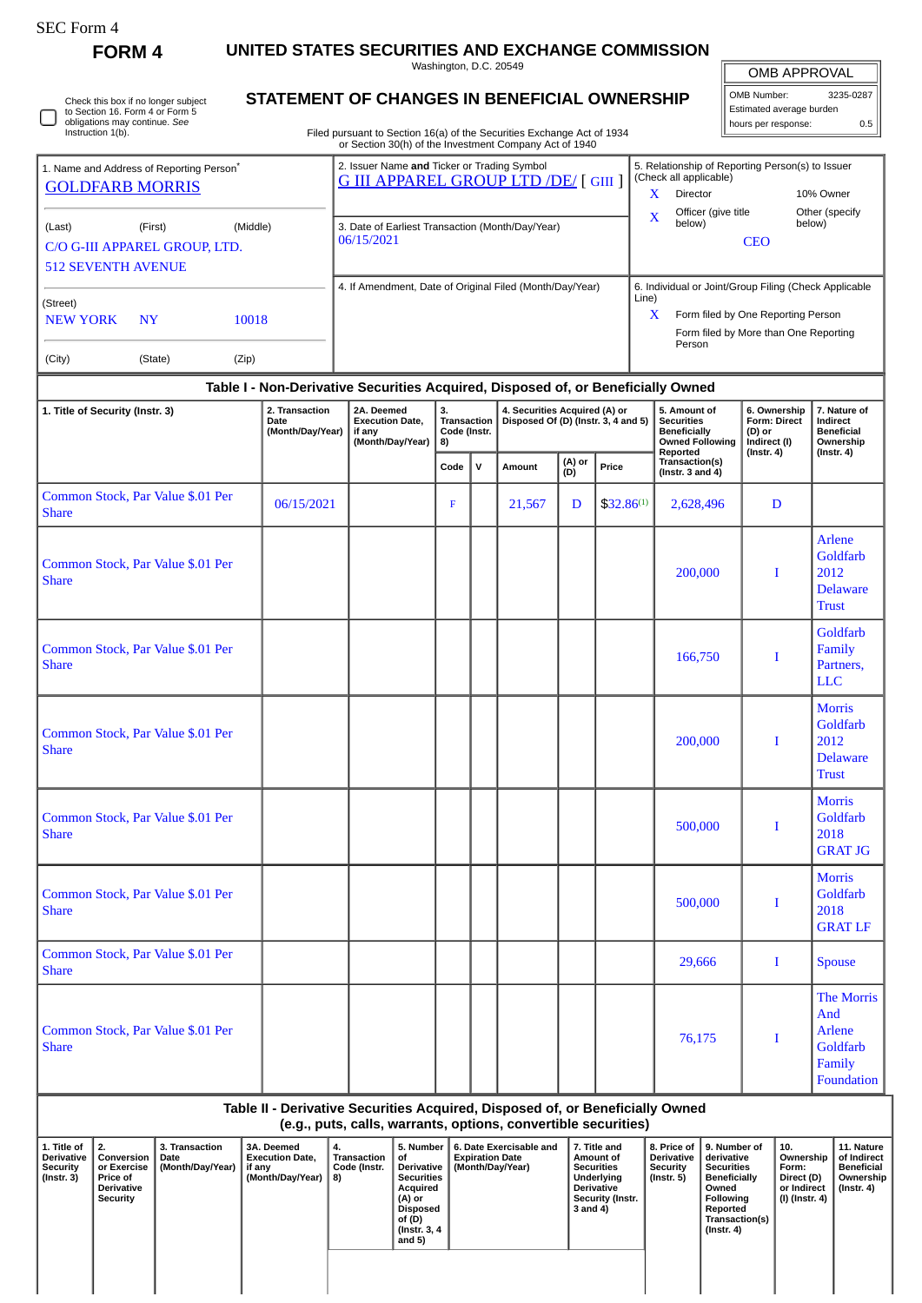| SEC Form |
|----------|
|----------|

**FORM 4 UNITED STATES SECURITIES AND EXCHANGE COMMISSION**

Washington, D.C. 20549

| OMB APPROVAL |
|--------------|
|              |

| <b>OMB APPROVAL</b>      |           |  |  |  |  |  |  |  |
|--------------------------|-----------|--|--|--|--|--|--|--|
| OMB Number:              | 3235-0287 |  |  |  |  |  |  |  |
| Estimated average burden |           |  |  |  |  |  |  |  |
| hours per response:      | 0 F       |  |  |  |  |  |  |  |

| Check this box if no longer subject<br>to Section 16. Form 4 or Form 5<br>obligations may continue. See<br>Instruction 1(b). |
|------------------------------------------------------------------------------------------------------------------------------|
|                                                                                                                              |

## **STATEMENT OF CHANGES IN BENEFICIAL OWNERSHIP**

Filed pursuant to Section 16(a) of the Securities Exchange Act of 1934 or Section 30(h) of the Investment Company Act of 1940

| <b>GOLDFARB MORRIS</b><br>(Middle)<br>(Last)<br>(First)    | <b>G III APPAREL GROUP LTD /DE/ [GIII ]</b>                    | x                                                     | <b>Director</b>                                                             | 10% Owner                 |  |
|------------------------------------------------------------|----------------------------------------------------------------|-------------------------------------------------------|-----------------------------------------------------------------------------|---------------------------|--|
|                                                            |                                                                |                                                       |                                                                             |                           |  |
| C/O G-III APPAREL GROUP, LTD.<br><b>512 SEVENTH AVENUE</b> | 3. Date of Earliest Transaction (Month/Day/Year)<br>06/15/2021 | $\overline{\mathbf{X}}$                               | Officer (give title<br>below)<br><b>CEO</b>                                 | Other (specify)<br>below) |  |
|                                                            | 4. If Amendment, Date of Original Filed (Month/Day/Year)       | 6. Individual or Joint/Group Filing (Check Applicable |                                                                             |                           |  |
| (Street)<br>10018<br><b>NEW YORK</b><br><b>NY</b>          |                                                                | Line)<br>X                                            | Form filed by One Reporting Person<br>Form filed by More than One Reporting |                           |  |
| (City)<br>(State)<br>(Zip)                                 |                                                                |                                                       | Person                                                                      |                           |  |

## **Table I - Non-Derivative Securities Acquired, Disposed of, or Beneficially Owned**

| Table I - Non-Derivative Securities Acquired, Disposed of, or Beneficially Owned                                                                                                                                                |                                                       |  |                                       |  |        |   |                                     |                                                                                                |                                                                            |                                                                                       |  |  |
|---------------------------------------------------------------------------------------------------------------------------------------------------------------------------------------------------------------------------------|-------------------------------------------------------|--|---------------------------------------|--|--------|---|-------------------------------------|------------------------------------------------------------------------------------------------|----------------------------------------------------------------------------|---------------------------------------------------------------------------------------|--|--|
| 4. Securities Acquired (A) or<br>1. Title of Security (Instr. 3)<br>2. Transaction<br>2A. Deemed<br>3.<br><b>Execution Date,</b><br>Transaction<br>Date<br>Code (Instr.<br>(Month/Day/Year)<br>if any<br>(Month/Day/Year)<br>8) |                                                       |  |                                       |  |        |   | Disposed Of (D) (Instr. 3, 4 and 5) | 5. Amount of<br><b>Securities</b><br><b>Beneficially</b><br><b>Owned Following</b><br>Reported | 6. Ownership<br>Form: Direct<br>(D) or<br>Indirect (I)<br>$($ Instr. 4 $)$ | 7. Nature of<br><b>Indirect</b><br><b>Beneficial</b><br>Ownership<br>$($ Instr. 4 $)$ |  |  |
|                                                                                                                                                                                                                                 | (A) or<br>(D)<br>${\bf v}$<br>Price<br>Code<br>Amount |  | Transaction(s)<br>(Instr. 3 and $4$ ) |  |        |   |                                     |                                                                                                |                                                                            |                                                                                       |  |  |
| Common Stock, Par Value \$.01 Per<br><b>Share</b>                                                                                                                                                                               | 06/15/2021                                            |  | $\mathbf F$                           |  | 21,567 | D | $$32.86^{(1)}$                      | 2,628,496                                                                                      | D                                                                          |                                                                                       |  |  |
| Common Stock, Par Value \$.01 Per<br><b>Share</b>                                                                                                                                                                               |                                                       |  |                                       |  |        |   |                                     | 200,000                                                                                        | $\bf{I}$                                                                   | Arlene<br>Goldfarb<br>2012<br><b>Delaware</b><br><b>Trust</b>                         |  |  |
| Common Stock, Par Value \$.01 Per<br><b>Share</b>                                                                                                                                                                               |                                                       |  |                                       |  |        |   |                                     | 166,750                                                                                        | $\bf{I}$                                                                   | Goldfarb<br>Family<br>Partners,<br><b>LLC</b>                                         |  |  |
| Common Stock, Par Value \$.01 Per<br><b>Share</b>                                                                                                                                                                               |                                                       |  |                                       |  |        |   |                                     | 200,000                                                                                        | $\bf{I}$                                                                   | <b>Morris</b><br>Goldfarb<br>2012<br><b>Delaware</b><br><b>Trust</b>                  |  |  |
| Common Stock, Par Value \$.01 Per<br><b>Share</b>                                                                                                                                                                               |                                                       |  |                                       |  |        |   |                                     | 500,000                                                                                        | I                                                                          | <b>Morris</b><br>Goldfarb<br>2018<br><b>GRAT JG</b>                                   |  |  |
| Common Stock, Par Value \$.01 Per<br><b>Share</b>                                                                                                                                                                               |                                                       |  |                                       |  |        |   |                                     | 500,000                                                                                        | I                                                                          | <b>Morris</b><br>Goldfarb<br>2018<br><b>GRAT LF</b>                                   |  |  |
| Common Stock, Par Value \$.01 Per<br><b>Share</b>                                                                                                                                                                               |                                                       |  |                                       |  |        |   |                                     | 29,666                                                                                         | $\bf{I}$                                                                   | <b>Spouse</b>                                                                         |  |  |
| Common Stock, Par Value \$.01 Per<br><b>Share</b>                                                                                                                                                                               |                                                       |  |                                       |  |        |   |                                     | 76,175                                                                                         | I                                                                          | The Morris<br>And<br>Arlene<br>Goldfarb<br>Family<br>Foundation                       |  |  |

## **Table II - Derivative Securities Acquired, Disposed of, or Beneficially Owned (e.g., puts, calls, warrants, options, convertible securities)**

| 1. Title of<br>Derivative<br>Security<br>(Instr. 3) | 2.<br>Conversion<br>or Exercise<br><b>Price of</b><br><b>Derivative</b><br>Security | 3. Transaction<br>Date<br>(Month/Day/Year) | 3A. Deemed<br><b>Execution Date.</b><br>if any<br>(Month/Day/Year) | 4.<br><b>Transaction</b><br>Code (Instr.<br>8) | 5. Number<br>οf<br>Derivative  <br><b>Securities</b><br>Acquired<br>(A) or<br><b>Disposed</b><br>of (D)<br>(Instr. 3, 4)<br>and $5)$ | 6. Date Exercisable and<br><b>Expiration Date</b><br>(Month/Day/Year) | 7. Title and<br>Amount of<br><b>Securities</b><br>Underlying<br><b>Derivative</b><br>Security (Instr.<br>3 and 4) | 8. Price of<br><b>Derivative</b><br>Security<br>(Instr. 5) | 9. Number of<br>derivative<br><b>Securities</b><br><b>Beneficially</b><br>Owned<br>Following<br>Reported<br>Transaction(s)<br>$($ Instr. 4 $)$ | 10.<br>Ownership<br>Form:<br>Direct (D)<br>or Indirect<br>(I) (Instr. 4) | 11. Nature<br>of Indirect<br>Beneficial<br>Ownership<br>(Instr. 4) |
|-----------------------------------------------------|-------------------------------------------------------------------------------------|--------------------------------------------|--------------------------------------------------------------------|------------------------------------------------|--------------------------------------------------------------------------------------------------------------------------------------|-----------------------------------------------------------------------|-------------------------------------------------------------------------------------------------------------------|------------------------------------------------------------|------------------------------------------------------------------------------------------------------------------------------------------------|--------------------------------------------------------------------------|--------------------------------------------------------------------|
|-----------------------------------------------------|-------------------------------------------------------------------------------------|--------------------------------------------|--------------------------------------------------------------------|------------------------------------------------|--------------------------------------------------------------------------------------------------------------------------------------|-----------------------------------------------------------------------|-------------------------------------------------------------------------------------------------------------------|------------------------------------------------------------|------------------------------------------------------------------------------------------------------------------------------------------------|--------------------------------------------------------------------------|--------------------------------------------------------------------|